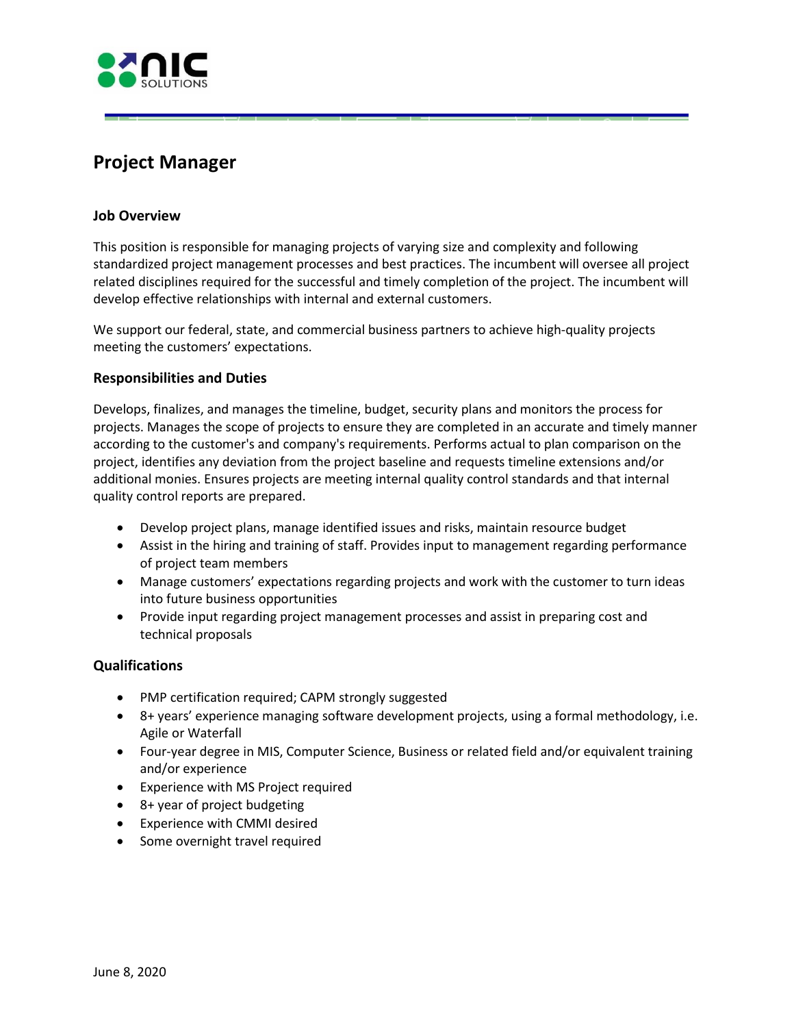

# **Project Manager**

## **Job Overview**

 standardized project management processes and best practices. The incumbent will oversee all project This position is responsible for managing projects of varying size and complexity and following related disciplines required for the successful and timely completion of the project. The incumbent will develop effective relationships with internal and external customers.

We support our federal, state, and commercial business partners to achieve high-quality projects meeting the customers' expectations.

## **Responsibilities and Duties**

Develops, finalizes, and manages the timeline, budget, security plans and monitors the process for projects. Manages the scope of projects to ensure they are completed in an accurate and timely manner according to the customer's and company's requirements. Performs actual to plan comparison on the project, identifies any deviation from the project baseline and requests timeline extensions and/or additional monies. Ensures projects are meeting internal quality control standards and that internal quality control reports are prepared.

- Develop project plans, manage identified issues and risks, maintain resource budget
- Assist in the hiring and training of staff. Provides input to management regarding performance of project team members
- Manage customers' expectations regarding projects and work with the customer to turn ideas into future business opportunities
- Provide input regarding project management processes and assist in preparing cost and technical proposals

## **Qualifications**

- PMP certification required; CAPM strongly suggested
- 8+ years' experience managing software development projects, using a formal methodology, i.e. Agile or Waterfall
- Four-year degree in MIS, Computer Science, Business or related field and/or equivalent training and/or experience
- Experience with MS Project required
- 8+ year of project budgeting
- Experience with CMMI desired
- Some overnight travel required